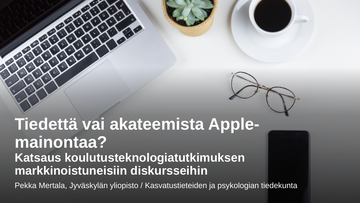

## **Tiedettä vai akateemista Applemainontaa? Katsaus koulutusteknologiatutkimuksen markkinoistuneisiin diskursseihin**

Pekka Mertala, Jyväskylän yliopisto / Kasvatustieteiden ja psykologian tiedekunta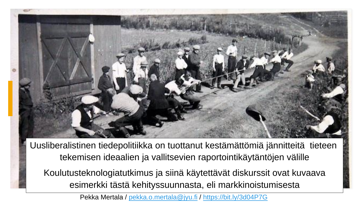

Uusliberalistinen tiedepolitiikka on tuottanut kestämättömiä jännitteitä tieteen tekemisen ideaalien ja vallitsevien raportointikäytäntöjen välille

Koulutusteknologiatutkimus ja siinä käytettävät diskurssit ovat kuvaava esimerkki tästä kehityssuunnasta, eli markkinoistumisesta

Pekka Mertala / [pekka.o.mertala@jyu.fi](mailto:pekka.o.mertala@jyu.fi) / <https://bit.ly/3d04P7G>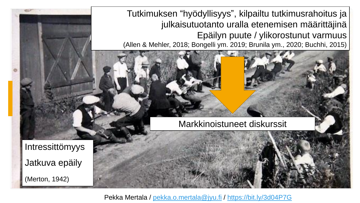Tutkimuksen "hyödyllisyys", kilpailtu tutkimusrahoitus ja julkaisutuotanto uralla etenemisen määrittäjinä Epäilyn puute / ylikorostunut varmuus (Allen & Mehler, 2018; Bongelli ym. 2019; Brunila ym., 2020; Buchhi, 2015)

Markkinoistuneet diskurssit

Intressittömyys Jatkuva epäily (Merton, 1942)

Pekka Mertala / [pekka.o.mertala@jyu.fi](mailto:pekka.o.mertala@jyu.fi) /<https://bit.ly/3d04P7G>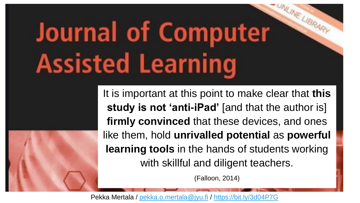## **Journal of Computer Assisted Learning**

It is important at this point to make clear that **this study is not 'anti-iPad'** [and that the author is] **firmly convinced** that these devices, and ones like them, hold **unrivalled potential** as **powerful learning tools** in the hands of students working with skillful and diligent teachers.

VLINE LIBRAR

(Falloon, 2014)

Pekka Mertala / [pekka.o.mertala@jyu.fi](mailto:pekka.o.mertala@jyu.fi) /<https://bit.ly/3d04P7G>